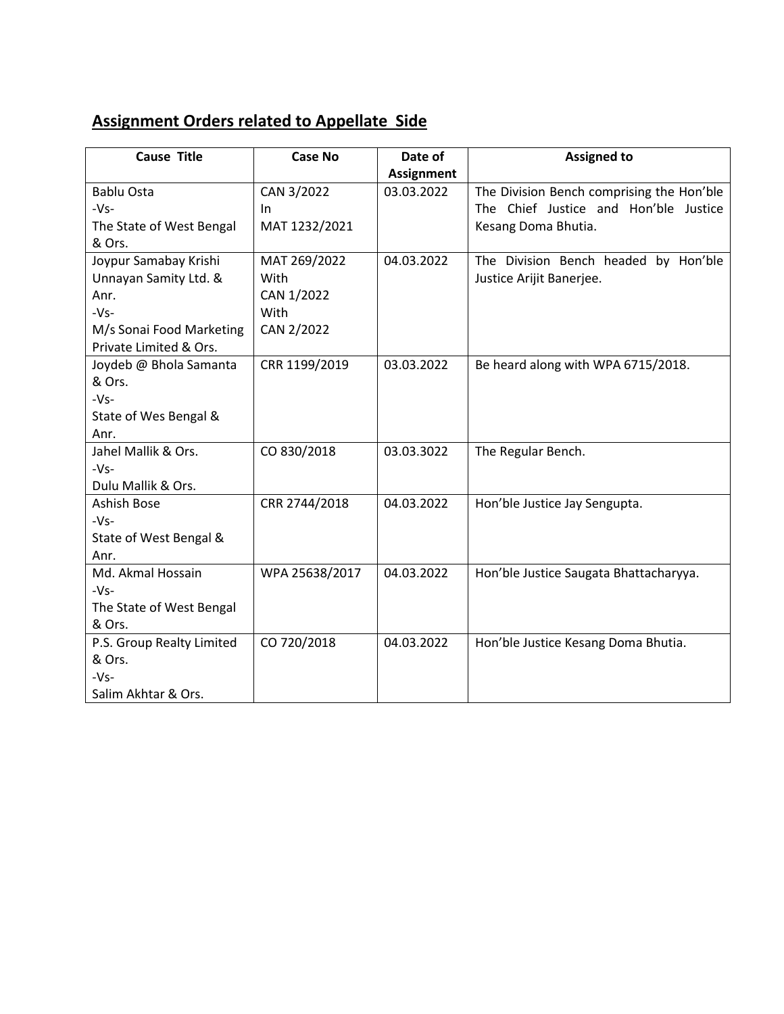## **Assignment Orders related to Appellate Side**

| <b>Cause Title</b>        | <b>Case No</b> | Date of           | <b>Assigned to</b>                        |
|---------------------------|----------------|-------------------|-------------------------------------------|
|                           |                | <b>Assignment</b> |                                           |
| <b>Bablu Osta</b>         | CAN 3/2022     | 03.03.2022        | The Division Bench comprising the Hon'ble |
| $-Vs-$                    | In             |                   | The Chief Justice and Hon'ble Justice     |
| The State of West Bengal  | MAT 1232/2021  |                   | Kesang Doma Bhutia.                       |
| & Ors.                    |                |                   |                                           |
| Joypur Samabay Krishi     | MAT 269/2022   | 04.03.2022        | The Division Bench headed by Hon'ble      |
| Unnayan Samity Ltd. &     | With           |                   | Justice Arijit Banerjee.                  |
| Anr.                      | CAN 1/2022     |                   |                                           |
| $-Vs-$                    | With           |                   |                                           |
| M/s Sonai Food Marketing  | CAN 2/2022     |                   |                                           |
| Private Limited & Ors.    |                |                   |                                           |
| Joydeb @ Bhola Samanta    | CRR 1199/2019  | 03.03.2022        | Be heard along with WPA 6715/2018.        |
| & Ors.                    |                |                   |                                           |
| $-Vs-$                    |                |                   |                                           |
| State of Wes Bengal &     |                |                   |                                           |
| Anr.                      |                |                   |                                           |
| Jahel Mallik & Ors.       | CO 830/2018    | 03.03.3022        | The Regular Bench.                        |
| $-Vs-$                    |                |                   |                                           |
| Dulu Mallik & Ors.        |                |                   |                                           |
| Ashish Bose               | CRR 2744/2018  | 04.03.2022        | Hon'ble Justice Jay Sengupta.             |
| $-Vs-$                    |                |                   |                                           |
| State of West Bengal &    |                |                   |                                           |
| Anr.                      |                |                   |                                           |
| Md. Akmal Hossain         | WPA 25638/2017 | 04.03.2022        | Hon'ble Justice Saugata Bhattacharyya.    |
| $-Vs-$                    |                |                   |                                           |
| The State of West Bengal  |                |                   |                                           |
| & Ors.                    |                |                   |                                           |
| P.S. Group Realty Limited | CO 720/2018    | 04.03.2022        | Hon'ble Justice Kesang Doma Bhutia.       |
| & Ors.                    |                |                   |                                           |
| $-Vs-$                    |                |                   |                                           |
| Salim Akhtar & Ors.       |                |                   |                                           |